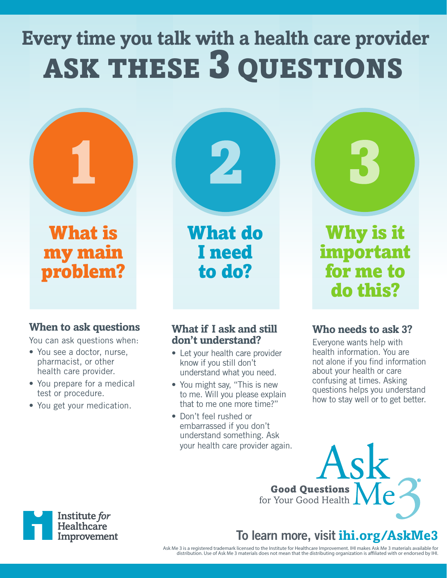# **Every time you talk with a health care provider** ASK THESE 3 QUESTIONS



What is my main problem?

#### **When to ask questions**

You can ask questions when:

- You see a doctor, nurse, pharmacist, or other health care provider.
- You prepare for a medical test or procedure.
- You get your medication.

#### **What if I ask and still don't understand?**

What do

I need

to do?

- Let your health care provider know if you still don't understand what you need.
- You might say, "This is new to me. Will you please explain that to me one more time?"
- Don't feel rushed or embarrassed if you don't understand something. Ask your health care provider again.



Why is it important for me to do this?

#### **Who needs to ask 3?**

Everyone wants help with health information. You are not alone if you find information about your health or care confusing at times. Asking questions helps you understand how to stay well or to get better.



# To learn more, visit **ihi.org/AskMe3**

Ask Me 3 is a registered trademark licensed to the Institute for Healthcare Improvement. IHI makes Ask Me 3 materials available for<br>.distribution. Use of Ask Me 3 materials does not mean that the distributing organization